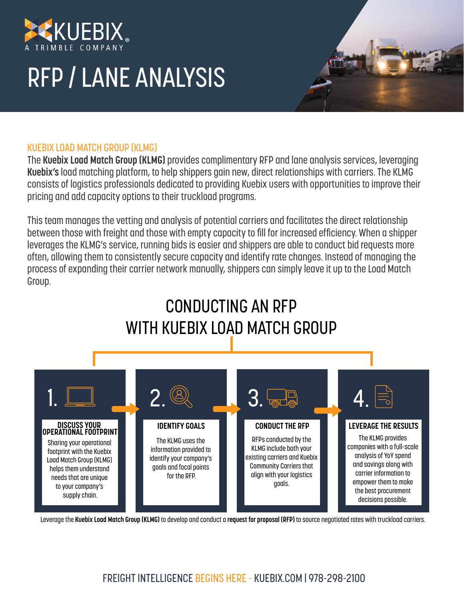

# RFP / LANE ANALYSIS

#### KUEBIX LOAD MATCH GROUP (KLMG)

The **Kuebix Load Match Group (KLMG)** provides complimentary RFP and lane analysis services, leveraging **Kuebix's** load matching platform, to help shippers gain new, direct relationships with carriers. The KLMG consists of logistics professionals dedicated to providing Kuebix users with opportunities to improve their pricing and add capacity options to their truckload programs.

This team manages the vetting and analysis of potential carriers and facilitates the direct relationship between those with freight and those with empty capacity to fill for increased efficiency. When a shipper leverages the KLMG's service, running bids is easier and shippers are able to conduct bid requests more often, allowing them to consistently secure capacity and identify rate changes. Instead of managing the process of expanding their carrier network manually, shippers can simply leave it up to the Load Match Group.

## CONDUCTING AN RFP WITH KUEBIX LOAD MATCH GROUP



Leverage the **Kuebix Load Match Group (KLMG)** to develop and conduct a **request for proposal (RFP)** to source negotiated rates with truckload carriers.